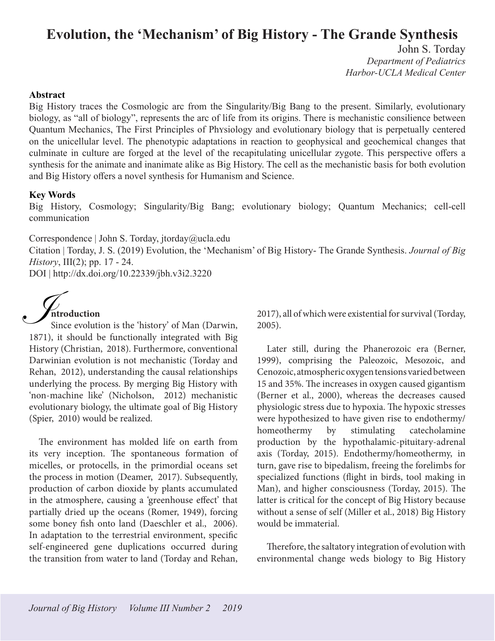# **Evolution, the 'Mechanism' of Big History - The Grande Synthesis**

John S. Torday *Department of Pediatrics Harbor-UCLA Medical Center*

#### **Abstract**

Big History traces the Cosmologic arc from the Singularity/Big Bang to the present. Similarly, evolutionary biology, as "all of biology", represents the arc of life from its origins. There is mechanistic consilience between Quantum Mechanics, The First Principles of PhYsiology and evolutionary biology that is perpetually centered on the unicellular level. The phenotypic adaptations in reaction to geophysical and geochemical changes that culminate in culture are forged at the level of the recapitulating unicellular zygote. This perspective offers a synthesis for the animate and inanimate alike as Big History. The cell as the mechanistic basis for both evolution and Big History offers a novel synthesis for Humanism and Science.

#### **Key Words**

Big History, Cosmology; Singularity/Big Bang; evolutionary biology; Quantum Mechanics; cell-cell communication

Correspondence | John S. Torday, jtorday@ucla.edu

Citation | Torday, J. S. (2019) Evolution, the 'Mechanism' of Big History- The Grande Synthesis. *Journal of Big History*, III(2); pp. 17 - 24.

DOI | http://dx.doi.org/10.22339/jbh.v3i2.3220



Since evolution is the 'history' of Man (Darwin, 1871), it should be functionally integrated with Big History (Christian, 2018). Furthermore, conventional Darwinian evolution is not mechanistic (Torday and Rehan, 2012), understanding the causal relationships underlying the process. By merging Big History with 'non-machine like' (Nicholson, 2012) mechanistic evolutionary biology, the ultimate goal of Big History (Spier, 2010) would be realized.

The environment has molded life on earth from its very inception. The spontaneous formation of micelles, or protocells, in the primordial oceans set the process in motion (Deamer, 2017). Subsequently, production of carbon dioxide by plants accumulated in the atmosphere, causing a 'greenhouse effect' that partially dried up the oceans (Romer, 1949), forcing some boney fish onto land (Daeschler et al., 2006). In adaptation to the terrestrial environment, specific self-engineered gene duplications occurred during the transition from water to land (Torday and Rehan,

2017), all of which were existential for survival (Torday, 2005).

Later still, during the Phanerozoic era (Berner, 1999), comprising the Paleozoic, Mesozoic, and Cenozoic, atmospheric oxygen tensions varied between 15 and 35%. The increases in oxygen caused gigantism (Berner et al., 2000), whereas the decreases caused physiologic stress due to hypoxia. The hypoxic stresses were hypothesized to have given rise to endothermy/ homeothermy by stimulating catecholamine production by the hypothalamic-pituitary-adrenal axis (Torday, 2015). Endothermy/homeothermy, in turn, gave rise to bipedalism, freeing the forelimbs for specialized functions (flight in birds, tool making in Man), and higher consciousness (Torday, 2015). The latter is critical for the concept of Big History because without a sense of self (Miller et al., 2018) Big History would be immaterial.

Therefore, the saltatory integration of evolution with environmental change weds biology to Big History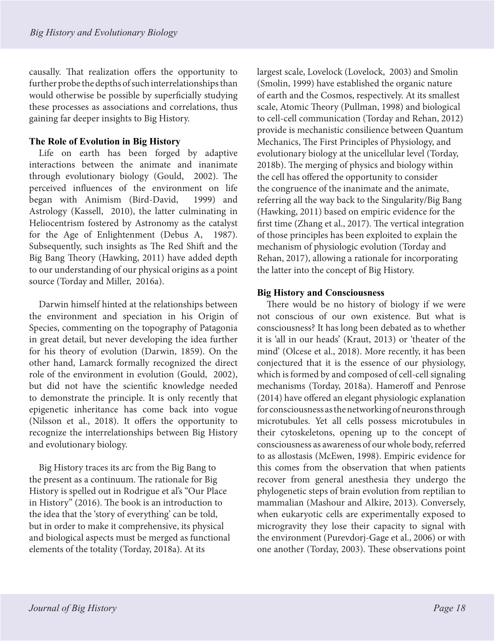causally. That realization offers the opportunity to further probe the depths of such interrelationships than would otherwise be possible by superficially studying these processes as associations and correlations, thus gaining far deeper insights to Big History.

# **The Role of Evolution in Big History**

Life on earth has been forged by adaptive interactions between the animate and inanimate through evolutionary biology (Gould, 2002). The perceived influences of the environment on life began with Animism (Bird-David, 1999) and Astrology (Kassell, 2010), the latter culminating in Heliocentrism fostered by Astronomy as the catalyst for the Age of Enlightenment (Debus A, 1987). Subsequently, such insights as The Red Shift and the Big Bang Theory (Hawking, 2011) have added depth to our understanding of our physical origins as a point source (Torday and Miller, 2016a).

Darwin himself hinted at the relationships between the environment and speciation in his Origin of Species, commenting on the topography of Patagonia in great detail, but never developing the idea further for his theory of evolution (Darwin, 1859). On the other hand, Lamarck formally recognized the direct role of the environment in evolution (Gould, 2002), but did not have the scientific knowledge needed to demonstrate the principle. It is only recently that epigenetic inheritance has come back into vogue (Nilsson et al., 2018). It offers the opportunity to recognize the interrelationships between Big History and evolutionary biology.

Big History traces its arc from the Big Bang to the present as a continuum. The rationale for Big History is spelled out in Rodrigue et al's "Our Place in History" (2016). The book is an introduction to the idea that the 'story of everything' can be told, but in order to make it comprehensive, its physical and biological aspects must be merged as functional elements of the totality (Torday, 2018a). At its

largest scale, Lovelock (Lovelock, 2003) and Smolin (Smolin, 1999) have established the organic nature of earth and the Cosmos, respectively. At its smallest scale, Atomic Theory (Pullman, 1998) and biological to cell-cell communication (Torday and Rehan, 2012) provide is mechanistic consilience between Quantum Mechanics, The First Principles of Physiology, and evolutionary biology at the unicellular level (Torday, 2018b). The merging of physics and biology within the cell has offered the opportunity to consider the congruence of the inanimate and the animate, referring all the way back to the Singularity/Big Bang (Hawking, 2011) based on empiric evidence for the first time (Zhang et al., 2017). The vertical integration of those principles has been exploited to explain the mechanism of physiologic evolution (Torday and Rehan, 2017), allowing a rationale for incorporating the latter into the concept of Big History.

# **Big History and Consciousness**

There would be no history of biology if we were not conscious of our own existence. But what is consciousness? It has long been debated as to whether it is 'all in our heads' (Kraut, 2013) or 'theater of the mind' (Olcese et al., 2018). More recently, it has been conjectured that it is the essence of our physiology, which is formed by and composed of cell-cell signaling mechanisms (Torday, 2018a). Hameroff and Penrose (2014) have offered an elegant physiologic explanation for consciousness as the networking of neurons through microtubules. Yet all cells possess microtubules in their cytoskeletons, opening up to the concept of consciousness as awareness of our whole body, referred to as allostasis (McEwen, 1998). Empiric evidence for this comes from the observation that when patients recover from general anesthesia they undergo the phylogenetic steps of brain evolution from reptilian to mammalian (Mashour and Alkire, 2013). Conversely, when eukaryotic cells are experimentally exposed to microgravity they lose their capacity to signal with the environment (Purevdorj-Gage et al., 2006) or with one another (Torday, 2003). These observations point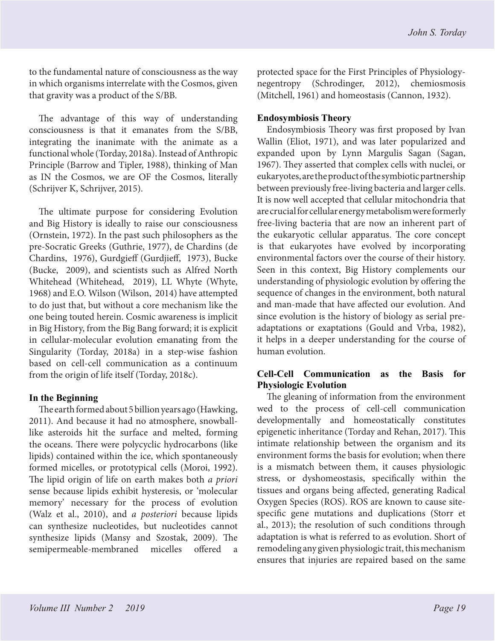to the fundamental nature of consciousness as the way in which organisms interrelate with the Cosmos, given that gravity was a product of the S/BB.

The advantage of this way of understanding consciousness is that it emanates from the S/BB, integrating the inanimate with the animate as a functional whole (Torday, 2018a). Instead of Anthropic Principle (Barrow and Tipler, 1988), thinking of Man as IN the Cosmos, we are OF the Cosmos, literally (Schrijver K, Schrijver, 2015).

The ultimate purpose for considering Evolution and Big History is ideally to raise our consciousness (Ornstein, 1972). In the past such philosophers as the pre-Socratic Greeks (Guthrie, 1977), de Chardins (de Chardins, 1976), Gurdgieff (Gurdjieff, 1973), Bucke (Bucke, 2009), and scientists such as Alfred North Whitehead (Whitehead, 2019), LL Whyte (Whyte, 1968) and E.O. Wilson (Wilson, 2014) have attempted to do just that, but without a core mechanism like the one being touted herein. Cosmic awareness is implicit in Big History, from the Big Bang forward; it is explicit in cellular-molecular evolution emanating from the Singularity (Torday, 2018a) in a step-wise fashion based on cell-cell communication as a continuum from the origin of life itself (Torday, 2018c).

# **In the Beginning**

The earth formed about 5 billion years ago (Hawking, 2011). And because it had no atmosphere, snowballlike asteroids hit the surface and melted, forming the oceans. There were polycyclic hydrocarbons (like lipids) contained within the ice, which spontaneously formed micelles, or prototypical cells (Moroi, 1992). The lipid origin of life on earth makes both *a priori* sense because lipids exhibit hysteresis, or 'molecular memory' necessary for the process of evolution (Walz et al., 2010), and *a posteriori* because lipids can synthesize nucleotides, but nucleotides cannot synthesize lipids (Mansy and Szostak, 2009). The semipermeable-membraned micelles offered

protected space for the First Principles of Physiologynegentropy (Schrodinger, 2012), chemiosmosis (Mitchell, 1961) and homeostasis (Cannon, 1932).

# **Endosymbiosis Theory**

Endosymbiosis Theory was first proposed by Ivan Wallin (Eliot, 1971), and was later popularized and expanded upon by Lynn Margulis Sagan (Sagan, 1967). They asserted that complex cells with nuclei, or eukaryotes, are the product of the symbiotic partnership between previously free-living bacteria and larger cells. It is now well accepted that cellular mitochondria that are crucial for cellular energy metabolism were formerly free-living bacteria that are now an inherent part of the eukaryotic cellular apparatus. The core concept is that eukaryotes have evolved by incorporating environmental factors over the course of their history. Seen in this context, Big History complements our understanding of physiologic evolution by offering the sequence of changes in the environment, both natural and man-made that have affected our evolution. And since evolution is the history of biology as serial preadaptations or exaptations (Gould and Vrba, 1982), it helps in a deeper understanding for the course of human evolution.

# **Cell-Cell Communication as the Basis for Physiologic Evolution**

The gleaning of information from the environment wed to the process of cell-cell communication developmentally and homeostatically constitutes epigenetic inheritance (Torday and Rehan, 2017). This intimate relationship between the organism and its environment forms the basis for evolution; when there is a mismatch between them, it causes physiologic stress, or dyshomeostasis, specifically within the tissues and organs being affected, generating Radical Oxygen Species (ROS). ROS are known to cause sitespecific gene mutations and duplications (Storr et al., 2013); the resolution of such conditions through adaptation is what is referred to as evolution. Short of remodeling any given physiologic trait, this mechanism ensures that injuries are repaired based on the same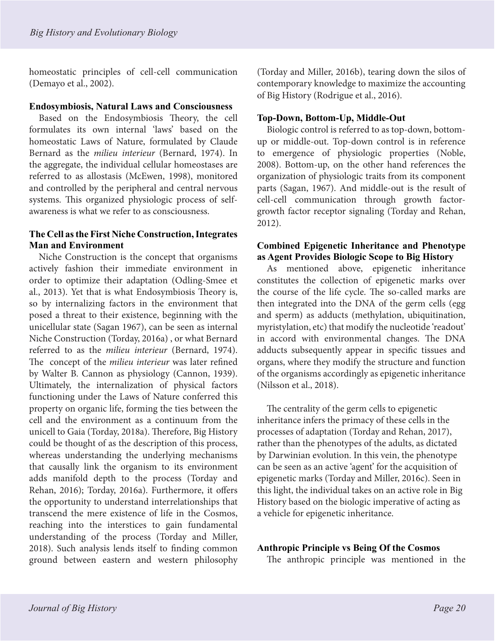homeostatic principles of cell-cell communication (Demayo et al., 2002).

#### **Endosymbiosis, Natural Laws and Consciousness**

Based on the Endosymbiosis Theory, the cell formulates its own internal 'laws' based on the homeostatic Laws of Nature, formulated by Claude Bernard as the *milieu interieur* (Bernard, 1974). In the aggregate, the individual cellular homeostases are referred to as allostasis (McEwen, 1998), monitored and controlled by the peripheral and central nervous systems. This organized physiologic process of selfawareness is what we refer to as consciousness.

## **The Cell as the First Niche Construction, Integrates Man and Environment**

Niche Construction is the concept that organisms actively fashion their immediate environment in order to optimize their adaptation (Odling-Smee et al., 2013). Yet that is what Endosymbiosis Theory is, so by internalizing factors in the environment that posed a threat to their existence, beginning with the unicellular state (Sagan 1967), can be seen as internal Niche Construction (Torday, 2016a) , or what Bernard referred to as the *milieu interieur* (Bernard, 1974). The concept of the *milieu interieur* was later refined by Walter B. Cannon as physiology (Cannon, 1939). Ultimately, the internalization of physical factors functioning under the Laws of Nature conferred this property on organic life, forming the ties between the cell and the environment as a continuum from the unicell to Gaia (Torday, 2018a). Therefore, Big History could be thought of as the description of this process, whereas understanding the underlying mechanisms that causally link the organism to its environment adds manifold depth to the process (Torday and Rehan, 2016); Torday, 2016a). Furthermore, it offers the opportunity to understand interrelationships that transcend the mere existence of life in the Cosmos, reaching into the interstices to gain fundamental understanding of the process (Torday and Miller, 2018). Such analysis lends itself to finding common ground between eastern and western philosophy (Torday and Miller, 2016b), tearing down the silos of contemporary knowledge to maximize the accounting of Big History (Rodrigue et al., 2016).

## **Top-Down, Bottom-Up, Middle-Out**

Biologic control is referred to as top-down, bottomup or middle-out. Top-down control is in reference to emergence of physiologic properties (Noble, 2008). Bottom-up, on the other hand references the organization of physiologic traits from its component parts (Sagan, 1967). And middle-out is the result of cell-cell communication through growth factorgrowth factor receptor signaling (Torday and Rehan, 2012).

### **Combined Epigenetic Inheritance and Phenotype as Agent Provides Biologic Scope to Big History**

As mentioned above, epigenetic inheritance constitutes the collection of epigenetic marks over the course of the life cycle. The so-called marks are then integrated into the DNA of the germ cells (egg and sperm) as adducts (methylation, ubiquitination, myristylation, etc) that modify the nucleotide 'readout' in accord with environmental changes. The DNA adducts subsequently appear in specific tissues and organs, where they modify the structure and function of the organisms accordingly as epigenetic inheritance (Nilsson et al., 2018).

The centrality of the germ cells to epigenetic inheritance infers the primacy of these cells in the processes of adaptation (Torday and Rehan, 2017), rather than the phenotypes of the adults, as dictated by Darwinian evolution. In this vein, the phenotype can be seen as an active 'agent' for the acquisition of epigenetic marks (Torday and Miller, 2016c). Seen in this light, the individual takes on an active role in Big History based on the biologic imperative of acting as a vehicle for epigenetic inheritance.

#### **Anthropic Principle vs Being Of the Cosmos**

The anthropic principle was mentioned in the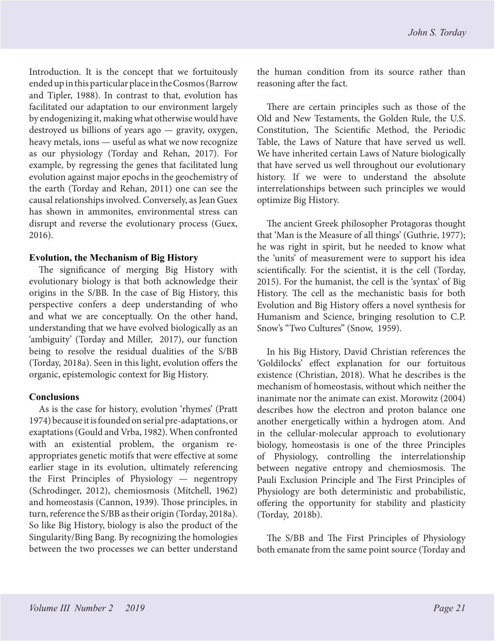Introduction. It is the concept that we fortuitously ended up in this particular place in the Cosmos (Barrow and Tipler, 1988). In contrast to that, evolution has facilitated our adaptation to our environment largely by endogenizing it, making what otherwise would have destroyed us billions of years ago — gravity, oxygen, heavy metals, ions — useful as what we now recognize as our physiology (Torday and Rehan, 2017). For example, by regressing the genes that facilitated lung evolution against major epochs in the geochemistry of the earth (Torday and Rehan, 2011) one can see the causal relationships involved. Conversely, as Jean Guex has shown in ammonites, environmental stress can disrupt and reverse the evolutionary process (Guex, 2016).

#### **Evolution, the Mechanism of Big History**

The significance of merging Big History with evolutionary biology is that both acknowledge their origins in the S/BB. In the case of Big History, this perspective confers a deep understanding of who and what we are conceptually. On the other hand, understanding that we have evolved biologically as an 'ambiguity' (Torday and Miller, 2017), our function being to resolve the residual dualities of the S/BB (Torday, 2018a). Seen in this light, evolution offers the organic, epistemologic context for Big History.

# **Conclusions**

As is the case for history, evolution 'rhymes' (Pratt 1974) because it is founded on serial pre-adaptations, or exaptations (Gould and Vrba, 1982). When confronted with an existential problem, the organism reappropriates genetic motifs that were effective at some earlier stage in its evolution, ultimately referencing the First Principles of Physiology — negentropy (Schrodinger, 2012), chemiosmosis (Mitchell, 1962) and homeostasis (Cannon, 1939). Those principles, in turn, reference the S/BB as their origin (Torday, 2018a). So like Big History, biology is also the product of the Singularity/Bing Bang. By recognizing the homologies between the two processes we can better understand

the human condition from its source rather than reasoning after the fact.

There are certain principles such as those of the Old and New Testaments, the Golden Rule, the U.S. Constitution, The Scientific Method, the Periodic Table, the Laws of Nature that have served us well. We have inherited certain Laws of Nature biologically that have served us well throughout our evolutionary history. If we were to understand the absolute interrelationships between such principles we would optimize Big History.

The ancient Greek philosopher Protagoras thought that 'Man is the Measure of all things' (Guthrie, 1977); he was right in spirit, but he needed to know what the 'units' of measurement were to support his idea scientifically. For the scientist, it is the cell (Torday, 2015). For the humanist, the cell is the 'syntax' of Big History. The cell as the mechanistic basis for both Evolution and Big History offers a novel synthesis for Humanism and Science, bringing resolution to C.P. Snow's "Two Cultures" (Snow, 1959).

In his Big History, David Christian references the 'Goldilocks' effect explanation for our fortuitous existence (Christian, 2018). What he describes is the mechanism of homeostasis, without which neither the inanimate nor the animate can exist. Morowitz (2004) describes how the electron and proton balance one another energetically within a hydrogen atom. And in the cellular-molecular approach to evolutionary biology, homeostasis is one of the three Principles of Physiology, controlling the interrelationship between negative entropy and chemiosmosis. The Pauli Exclusion Principle and The First Principles of Physiology are both deterministic and probabilistic, offering the opportunity for stability and plasticity (Torday, 2018b).

The S/BB and The First Principles of Physiology both emanate from the same point source (Torday and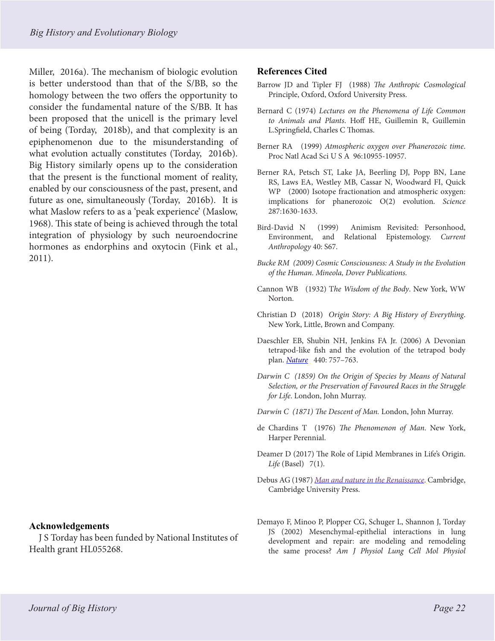Miller, 2016a). The mechanism of biologic evolution is better understood than that of the S/BB, so the homology between the two offers the opportunity to consider the fundamental nature of the S/BB. It has been proposed that the unicell is the primary level of being (Torday, 2018b), and that complexity is an epiphenomenon due to the misunderstanding of what evolution actually constitutes (Torday, 2016b). Big History similarly opens up to the consideration that the present is the functional moment of reality, enabled by our consciousness of the past, present, and future as one, simultaneously (Torday, 2016b). It is what Maslow refers to as a 'peak experience' (Maslow, 1968). This state of being is achieved through the total integration of physiology by such neuroendocrine hormones as endorphins and oxytocin (Fink et al., 2011).

# **Acknowledgements**

J S Torday has been funded by National Institutes of Health grant HL055268.

#### **References Cited**

- Barrow JD and Tipler FJ (1988) *The Anthropic Cosmological*  Principle, Oxford, Oxford University Press.
- Bernard C (1974) *Lectures on the Phenomena of Life Common to Animals and Plants*. Hoff HE, Guillemin R, Guillemin L.Springfield, Charles C Thomas.
- Berner RA (1999) *Atmospheric oxygen over Phanerozoic time*. Proc Natl Acad Sci U S A 96:10955-10957.
- Berner RA, Petsch ST, Lake JA, Beerling DJ, Popp BN, Lane RS, Laws EA, Westley MB, Cassar N, Woodward FI, Quick WP (2000) Isotope fractionation and atmospheric oxygen: implications for phanerozoic O(2) evolution. *Science*  287:1630-1633.
- Bird-David N (1999) Animism Revisited: Personhood, Environment, and Relational Epistemology. *Current Anthropology* 40: S67.
- *Bucke RM (2009) Cosmic Consciousness: A Study in the Evolution of the Human. Mineola, Dover Publications.*
- Cannon WB (1932) T*he Wisdom of the Body*. New York, WW Norton.
- Christian D (2018) *Origin Story: A Big History of Everything*. New York, Little, Brown and Company.
- Daeschler EB, Shubin NH, Jenkins FA Jr. (2006) A Devonian tetrapod-like fish and the evolution of the tetrapod body plan. *[Nature](https://en.wikipedia.org/wiki/Nature_(journal))* 440: 757–763.
- *Darwin C (1859) On the Origin of Species by Means of Natural Selection, or the Preservation of Favoured Races in the Struggle for Life*. London, John Murray.

*Darwin C (1871) The Descent of Man.* London, John Murray.

- de Chardins T (1976) *The Phenomenon of Man*. New York, Harper Perennial.
- Deamer D (2017) The Role of Lipid Membranes in Life's Origin. *Life* (Basel) 7(1).
- Debus AG (1987) *[Man and nature in the Renaissance](https://books.google.com/books?id=caJygwa-jiEC)*. Cambridge, Cambridge University Press.
- Demayo F, Minoo P, Plopper CG, Schuger L, Shannon J, Torday JS (2002) Mesenchymal-epithelial interactions in lung development and repair: are modeling and remodeling the same process? *Am J Physiol Lung Cell Mol Physiol*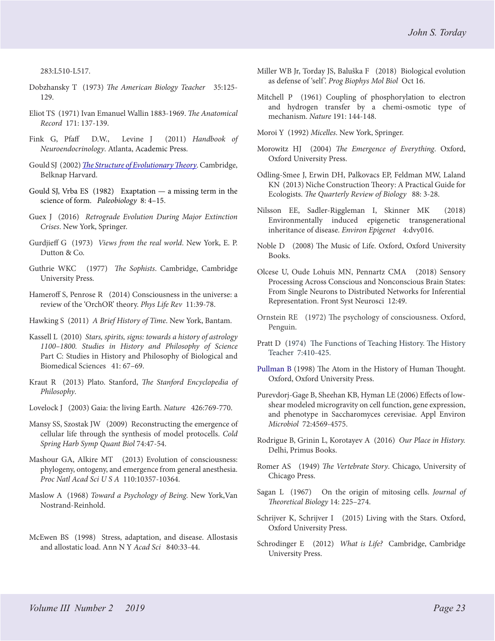283:L510-L517.

- Dobzhansky T (1973) *The American Biology Teacher* 35:125- 129.
- Eliot TS (1971) Ivan Emanuel Wallin 1883-1969. *The Anatomical Record* 171: 137-139.
- Fink G, Pfaff D.W., Levine J (2011) *Handbook of Neuroendocrinology*. Atlanta, Academic Press.
- Gould SJ (2002) *[The Structure of Evolutionary Theory](https://en.wikipedia.org/wiki/The_Structure_of_Evolutionary_Theory)*. Cambridge, Belknap Harvard.
- Gould SJ, Vrba ES (1982)  [Exaptation a missing term in the](http://www2.hawaii.edu/~khayes/Journal_Club/fall2006/Gould_&_Vrb_1982_Paleobio.pdf)  [science of form.](http://www2.hawaii.edu/~khayes/Journal_Club/fall2006/Gould_&_Vrb_1982_Paleobio.pdf) *Paleobiology* 8: 4–15.
- Guex J (2016) *Retrograde Evolution During Major Extinction Crises*. New York, Springer.
- Gurdjieff G (1973) *Views from the real world*. New York, E. P. Dutton & Co.
- Guthrie WKC (1977) *The Sophists*. Cambridge, Cambridge University Press.
- Hameroff S, Penrose R (2014) Consciousness in the universe: a review of the 'OrchOR' theory. *Phys Life Rev* 11:39-78.
- Hawking S (2011) *A Brief History of Time*. New York, Bantam.
- Kassell L (2010) *Stars, spirits, signs: towards a history of astrology 1100–1800. Studies in History and Philosophy of Science*  Part C: Studies in History and Philosophy of Biological and Biomedical Sciences 41: 67–69.
- Kraut R (2013) Plato. Stanford, *The Stanford Encyclopedia of Philosophy*.
- Lovelock J (2003) Gaia: the living Earth. *Nature* 426:769-770.
- Mansy SS, Szostak JW (2009) Reconstructing the emergence of cellular life through the synthesis of model protocells. *Cold Spring Harb Symp Quant Biol* 74:47-54.
- Mashour GA, Alkire MT (2013) Evolution of consciousness: phylogeny, ontogeny, and emergence from general anesthesia. *Proc Natl Acad Sci U S A* 110:10357-10364.
- Maslow A (1968) *Toward a Psychology of Being*. New York,Van Nostrand-Reinhold.
- McEwen BS (1998) Stress, adaptation, and disease. Allostasis and allostatic load. Ann N Y *Acad Sci* 840:33-44.
- Miller WB Jr, Torday JS, Baluška F (2018) Biological evolution as defense of 'self '. *Prog Biophys Mol Biol* Oct 16.
- Mitchell P (1961) Coupling of phosphorylation to electron and hydrogen transfer by a chemi-osmotic type of mechanism. *Nature* 191: 144-148.
- Moroi Y (1992) *Micelles*. New York, Springer.
- Morowitz HJ (2004) *The Emergence of Everything*. Oxford, Oxford University Press.
- Odling-Smee J, Erwin DH, Palkovacs EP, Feldman MW, Laland KN (2013) Niche Construction Theory: A Practical Guide for Ecologists. *The Quarterly Review of Biology* 88: 3-28.
- Nilsson EE, Sadler-Riggleman I, Skinner MK (2018) Environmentally induced epigenetic transgenerational inheritance of disease. *Environ Epigenet* 4:dvy016.
- Noble D (2008) The Music of Life. Oxford, Oxford University Books.
- Olcese U, Oude Lohuis MN, Pennartz CMA (2018) Sensory Processing Across Conscious and Nonconscious Brain States: From Single Neurons to Distributed Networks for Inferential Representation. Front Syst Neurosci 12:49.
- Ornstein RE (1972) The psychology of consciousness. Oxford, Penguin.
- Pratt D (1974) The Functions of Teaching History. The History Teacher 7:410-425.
- Pullman B (1998) The Atom in the History of Human Thought. Oxford, Oxford University Press.
- Purevdorj-Gage B, Sheehan KB, Hyman LE (2006) Effects of lowshear modeled microgravity on cell function, gene expression, and phenotype in Saccharomyces cerevisiae. Appl Environ *Microbiol* 72:4569-4575.
- Rodrigue B, Grinin L, Korotayev A (2016) *Our Place in History.*  Delhi, Primus Books.
- Romer AS (1949) *The Vertebrate Story*. Chicago, University of Chicago Press.
- Sagan L (1967) On the origin of mitosing cells. *Journal of Theoretical Biology* 14: 225–274.
- Schrijver K, Schrijver I (2015) Living with the Stars. Oxford, Oxford University Press.
- Schrodinger E (2012) *What is Life?* Cambridge, Cambridge University Press.